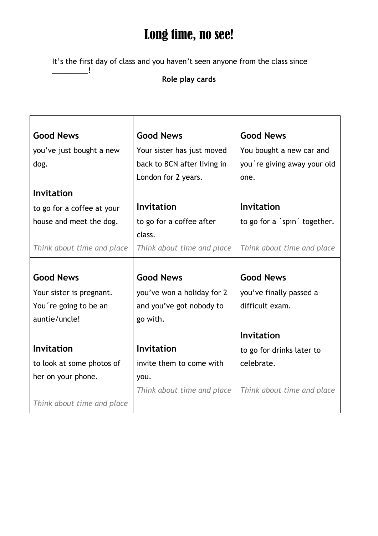## Long time, no see!

It's the first day of class and you haven't seen anyone from the class since

\_\_\_\_\_\_\_\_\_!

## **Role play cards**

| <b>Good News</b><br>you've just bought a new<br>dog. | <b>Good News</b><br>Your sister has just moved<br>back to BCN after living in<br>London for 2 years. | <b>Good News</b><br>You bought a new car and<br>you're giving away your old<br>one. |
|------------------------------------------------------|------------------------------------------------------------------------------------------------------|-------------------------------------------------------------------------------------|
| Invitation                                           |                                                                                                      |                                                                                     |
| to go for a coffee at your                           | Invitation                                                                                           | <b>Invitation</b>                                                                   |
| house and meet the dog.                              | to go for a coffee after                                                                             | to go for a 'spin' together.                                                        |
|                                                      | class.                                                                                               |                                                                                     |
| Think about time and place                           | Think about time and place                                                                           | Think about time and place                                                          |
|                                                      |                                                                                                      |                                                                                     |
| <b>Good News</b>                                     | <b>Good News</b>                                                                                     | <b>Good News</b>                                                                    |
| Your sister is pregnant.                             | you've won a holiday for 2                                                                           | you've finally passed a                                                             |
| You're going to be an                                | and you've got nobody to                                                                             | difficult exam.                                                                     |
| auntie/uncle!                                        | go with.                                                                                             |                                                                                     |
|                                                      |                                                                                                      | Invitation                                                                          |
| <b>Invitation</b>                                    | <b>Invitation</b>                                                                                    | to go for drinks later to                                                           |
| to look at some photos of                            | invite them to come with                                                                             | celebrate.                                                                          |
| her on your phone.                                   | you.                                                                                                 |                                                                                     |
|                                                      | Think about time and place                                                                           | Think about time and place                                                          |
| Think about time and place                           |                                                                                                      |                                                                                     |